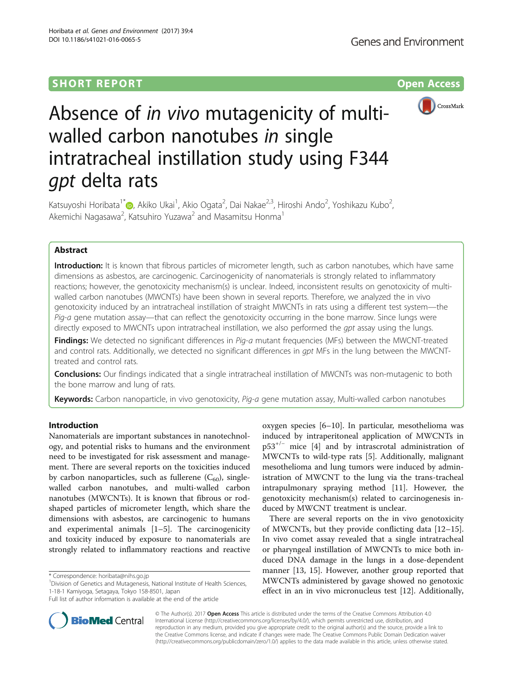## SHORT REPORT **The Contract of the Contract of Contract Contract Open Access**



# Absence of in vivo mutagenicity of multiwalled carbon nanotubes in single intratracheal instillation study using F344 gpt delta rats

Katsuyoshi Horibata<sup>1\*</sup>®[,](http://orcid.org/0000-0002-0866-5504) Akiko Ukai<sup>1</sup>, Akio Ogata<sup>2</sup>, Dai Nakae<sup>2,3</sup>, Hiroshi Ando<sup>2</sup>, Yoshikazu Kubo<sup>2</sup> , Akemichi Nagasawa<sup>2</sup>, Katsuhiro Yuzawa<sup>2</sup> and Masamitsu Honma<sup>1</sup>

## Abstract

Introduction: It is known that fibrous particles of micrometer length, such as carbon nanotubes, which have same dimensions as asbestos, are carcinogenic. Carcinogenicity of nanomaterials is strongly related to inflammatory reactions; however, the genotoxicity mechanism(s) is unclear. Indeed, inconsistent results on genotoxicity of multiwalled carbon nanotubes (MWCNTs) have been shown in several reports. Therefore, we analyzed the in vivo genotoxicity induced by an intratracheal instillation of straight MWCNTs in rats using a different test system—the Pig-a gene mutation assay—that can reflect the genotoxicity occurring in the bone marrow. Since lungs were directly exposed to MWCNTs upon intratracheal instillation, we also performed the qpt assay using the lungs.

Findings: We detected no significant differences in Pig-a mutant frequencies (MFs) between the MWCNT-treated and control rats. Additionally, we detected no significant differences in *qpt* MFs in the lung between the MWCNTtreated and control rats.

**Conclusions:** Our findings indicated that a single intratracheal instillation of MWCNTs was non-mutagenic to both the bone marrow and lung of rats.

Keywords: Carbon nanoparticle, in vivo genotoxicity, Pig-a gene mutation assay, Multi-walled carbon nanotubes

## Introduction

Nanomaterials are important substances in nanotechnology, and potential risks to humans and the environment need to be investigated for risk assessment and management. There are several reports on the toxicities induced by carbon nanoparticles, such as fullerene  $(C_{60})$ , singlewalled carbon nanotubes, and multi-walled carbon nanotubes (MWCNTs). It is known that fibrous or rodshaped particles of micrometer length, which share the dimensions with asbestos, are carcinogenic to humans and experimental animals [[1](#page-4-0)–[5\]](#page-4-0). The carcinogenicity and toxicity induced by exposure to nanomaterials are strongly related to inflammatory reactions and reactive

<sup>1</sup> Division of Genetics and Mutagenesis, National Institute of Health Sciences, 1-18-1 Kamiyoga, Setagaya, Tokyo 158-8501, Japan

oxygen species [[6](#page-4-0)–[10\]](#page-4-0). In particular, mesothelioma was induced by intraperitoneal application of MWCNTs in p53<sup>+/−</sup> mice [[4\]](#page-4-0) and by intrascrotal administration of MWCNTs to wild-type rats [[5\]](#page-4-0). Additionally, malignant mesothelioma and lung tumors were induced by administration of MWCNT to the lung via the trans-tracheal intrapulmonary spraying method [\[11](#page-4-0)]. However, the genotoxicity mechanism(s) related to carcinogenesis induced by MWCNT treatment is unclear.

There are several reports on the in vivo genotoxicity of MWCNTs, but they provide conflicting data [[12](#page-4-0)–[15](#page-4-0)]. In vivo comet assay revealed that a single intratracheal or pharyngeal instillation of MWCNTs to mice both induced DNA damage in the lungs in a dose-dependent manner [\[13](#page-4-0), [15](#page-4-0)]. However, another group reported that MWCNTs administered by gavage showed no genotoxic effect in an in vivo micronucleus test [[12](#page-4-0)]. Additionally,



© The Author(s). 2017 Open Access This article is distributed under the terms of the Creative Commons Attribution 4.0 International License [\(http://creativecommons.org/licenses/by/4.0/](http://creativecommons.org/licenses/by/4.0/)), which permits unrestricted use, distribution, and reproduction in any medium, provided you give appropriate credit to the original author(s) and the source, provide a link to the Creative Commons license, and indicate if changes were made. The Creative Commons Public Domain Dedication waiver [\(http://creativecommons.org/publicdomain/zero/1.0/](http://creativecommons.org/publicdomain/zero/1.0/)) applies to the data made available in this article, unless otherwise stated.

<sup>\*</sup> Correspondence: [horibata@nihs.go.jp](mailto:horibata@nihs.go.jp) <sup>1</sup>

Full list of author information is available at the end of the article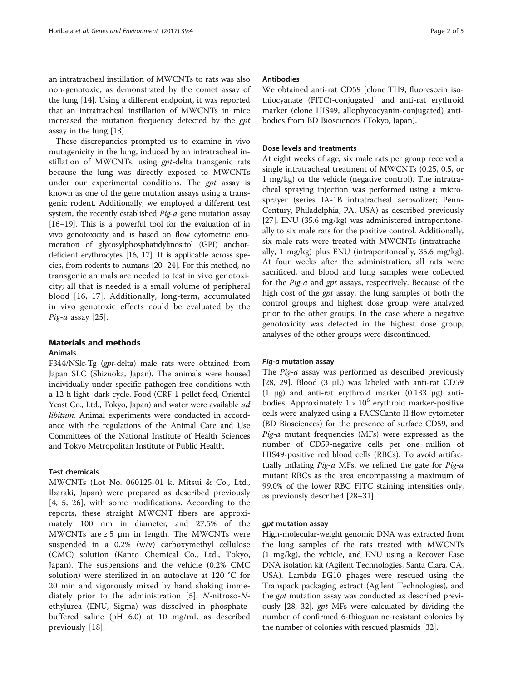an intratracheal instillation of MWCNTs to rats was also non-genotoxic, as demonstrated by the comet assay of the lung [[14\]](#page-4-0). Using a different endpoint, it was reported that an intratracheal instillation of MWCNTs in mice increased the mutation frequency detected by the gpt assay in the lung [\[13](#page-4-0)].

These discrepancies prompted us to examine in vivo mutagenicity in the lung, induced by an intratracheal instillation of MWCNTs, using *gpt*-delta transgenic rats because the lung was directly exposed to MWCNTs under our experimental conditions. The gpt assay is known as one of the gene mutation assays using a transgenic rodent. Additionally, we employed a different test system, the recently established *Pig-a* gene mutation assay [[16](#page-4-0)–[19\]](#page-4-0). This is a powerful tool for the evaluation of in vivo genotoxicity and is based on flow cytometric enumeration of glycosylphosphatidylinositol (GPI) anchordeficient erythrocytes [\[16, 17\]](#page-4-0). It is applicable across species, from rodents to humans [\[20](#page-4-0)–[24\]](#page-4-0). For this method, no transgenic animals are needed to test in vivo genotoxicity; all that is needed is a small volume of peripheral blood [[16](#page-4-0), [17\]](#page-4-0). Additionally, long-term, accumulated in vivo genotoxic effects could be evaluated by the *Pig-a* assay  $[25]$  $[25]$  $[25]$ .

## Materials and methods

## Animals

F344/NSlc-Tg (gpt-delta) male rats were obtained from Japan SLC (Shizuoka, Japan). The animals were housed individually under specific pathogen-free conditions with a 12-h light–dark cycle. Food (CRF-1 pellet feed, Oriental Yeast Co., Ltd., Tokyo, Japan) and water were available ad libitum. Animal experiments were conducted in accordance with the regulations of the Animal Care and Use Committees of the National Institute of Health Sciences and Tokyo Metropolitan Institute of Public Health.

## Test chemicals

MWCNTs (Lot No. 060125-01 k, Mitsui & Co., Ltd., Ibaraki, Japan) were prepared as described previously [[4, 5, 26\]](#page-4-0), with some modifications. According to the reports, these straight MWCNT fibers are approximately 100 nm in diameter, and 27.5% of the MWCNTs are  $\geq$  5 µm in length. The MWCNTs were suspended in a 0.2% (w/v) carboxymethyl cellulose (CMC) solution (Kanto Chemical Co., Ltd., Tokyo, Japan). The suspensions and the vehicle (0.2% CMC solution) were sterilized in an autoclave at 120 °C for 20 min and vigorously mixed by hand shaking imme-diately prior to the administration [\[5](#page-4-0)].  $N$ -nitroso- $N$ ethylurea (ENU, Sigma) was dissolved in phosphatebuffered saline (pH 6.0) at 10 mg/mL as described previously [\[18](#page-4-0)].

## Antibodies

We obtained anti-rat CD59 [clone TH9, fluorescein isothiocyanate (FITC)-conjugated] and anti-rat erythroid marker (clone HIS49, allophycocyanin-conjugated) antibodies from BD Biosciences (Tokyo, Japan).

#### Dose levels and treatments

At eight weeks of age, six male rats per group received a single intratracheal treatment of MWCNTs (0.25, 0.5, or 1 mg/kg) or the vehicle (negative control). The intratracheal spraying injection was performed using a microsprayer (series IA-1B intratracheal aerosolizer; Penn-Century, Philadelphia, PA, USA) as described previously [[27\]](#page-4-0). ENU (35.6 mg/kg) was administered intraperitoneally to six male rats for the positive control. Additionally, six male rats were treated with MWCNTs (intratracheally, 1 mg/kg) plus ENU (intraperitoneally, 35.6 mg/kg). At four weeks after the administration, all rats were sacrificed, and blood and lung samples were collected for the Pig-a and gpt assays, respectively. Because of the high cost of the gpt assay, the lung samples of both the control groups and highest dose group were analyzed prior to the other groups. In the case where a negative genotoxicity was detected in the highest dose group, analyses of the other groups were discontinued.

#### Pig-a mutation assay

The Pig-a assay was performed as described previously [[28, 29](#page-4-0)]. Blood  $(3 \mu L)$  was labeled with anti-rat CD59 (1 μg) and anti-rat erythroid marker (0.133 μg) antibodies. Approximately  $1 \times 10^6$  erythroid marker-positive cells were analyzed using a FACSCanto II flow cytometer (BD Biosciences) for the presence of surface CD59, and Pig-a mutant frequencies (MFs) were expressed as the number of CD59-negative cells per one million of HIS49-positive red blood cells (RBCs). To avoid artifactually inflating Pig-a MFs, we refined the gate for Pig-a mutant RBCs as the area encompassing a maximum of 99.0% of the lower RBC FITC staining intensities only, as previously described [\[28](#page-4-0)–[31\]](#page-4-0).

#### gpt mutation assay

High-molecular-weight genomic DNA was extracted from the lung samples of the rats treated with MWCNTs (1 mg/kg), the vehicle, and ENU using a Recover Ease DNA isolation kit (Agilent Technologies, Santa Clara, CA, USA). Lambda EG10 phages were rescued using the Transpack packaging extract (Agilent Technologies), and the *gpt* mutation assay was conducted as described previously [\[28, 32\]](#page-4-0). gpt MFs were calculated by dividing the number of confirmed 6-thioguanine-resistant colonies by the number of colonies with rescued plasmids [\[32\]](#page-4-0).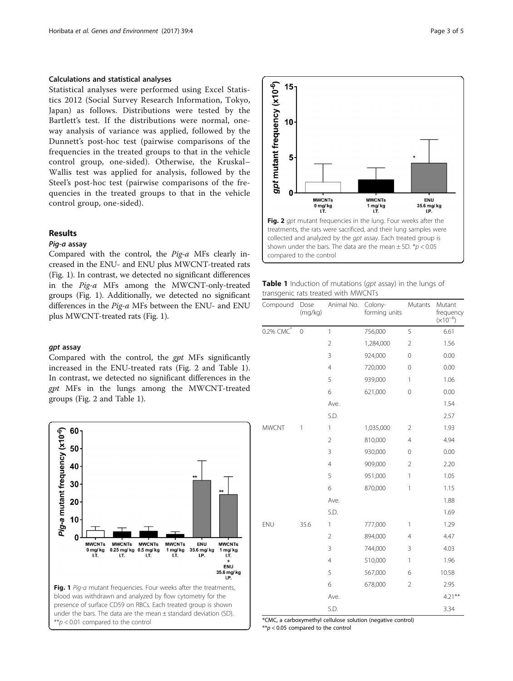## <span id="page-2-0"></span>Calculations and statistical analyses

Statistical analyses were performed using Excel Statistics 2012 (Social Survey Research Information, Tokyo, Japan) as follows. Distributions were tested by the Bartlett's test. If the distributions were normal, oneway analysis of variance was applied, followed by the Dunnett's post-hoc test (pairwise comparisons of the frequencies in the treated groups to that in the vehicle control group, one-sided). Otherwise, the Kruskal– Wallis test was applied for analysis, followed by the Steel's post-hoc test (pairwise comparisons of the frequencies in the treated groups to that in the vehicle control group, one-sided).

## **Results**

## Pig-a assay

Compared with the control, the Pig-a MFs clearly increased in the ENU- and ENU plus MWCNT-treated rats (Fig. 1). In contrast, we detected no significant differences in the Pig-a MFs among the MWCNT-only-treated groups (Fig. 1). Additionally, we detected no significant differences in the Pig-a MFs between the ENU- and ENU plus MWCNT-treated rats (Fig. 1).

## gpt assay

Compared with the control, the gpt MFs significantly increased in the ENU-treated rats (Fig. 2 and Table 1). In contrast, we detected no significant differences in the gpt MFs in the lungs among the MWCNT-treated groups (Fig. 2 and Table 1).



gpt mutant frequency (x10<sup>-6</sup>) 15  $10$ 5  $\Omega$ **MWCNTs MWCNTs** ENU  $0 \frac{m}{L}$  kg<br> $L$ .  $35.6 \text{ mg/kg}$ <br> $I.P.$ 1 mg/kg<br> $L$ T. Fig. 2 gpt mutant frequencies in the lung. Four weeks after the treatments, the rats were sacrificed, and their lung samples were collected and analyzed by the gpt assay. Each treated group is shown under the bars. The data are the mean  $\pm$  SD.  $*$ p < 0.05 compared to the control

| <b>Table 1</b> Induction of mutations ( <i>gpt</i> assay) in the lungs of |  |  |
|---------------------------------------------------------------------------|--|--|
| transgenic rats treated with MWCNTs                                       |  |  |

| Compound     | Dose<br>(mg/kg) | Animal No.     | Colony-<br>forming units | Mutants        | Mutant<br>frequency<br>$(x10^{-6})$ |
|--------------|-----------------|----------------|--------------------------|----------------|-------------------------------------|
| 0.2% CMC*    | $\overline{O}$  | $\mathbf{1}$   | 756,000                  | 5              | 6.61                                |
|              |                 | $\overline{2}$ | 1,284,000                | $\overline{2}$ | 1.56                                |
|              |                 | 3              | 924,000                  | $\mathbf 0$    | 0.00                                |
|              |                 | 4              | 720,000                  | $\mathbf 0$    | 0.00                                |
|              |                 | 5              | 939,000                  | 1              | 1.06                                |
|              |                 | 6              | 621,000                  | $\mathbf 0$    | 0.00                                |
|              |                 | Ave.           |                          |                | 1.54                                |
|              |                 | S.D.           |                          |                | 2.57                                |
| <b>MWCNT</b> | 1               | 1              | 1,035,000                | $\overline{2}$ | 1.93                                |
|              |                 | $\overline{2}$ | 810,000                  | $\overline{4}$ | 4.94                                |
|              |                 | 3              | 930,000                  | $\mathbf{0}$   | 0.00                                |
|              |                 | $\overline{4}$ | 909,000                  | $\overline{2}$ | 2.20                                |
|              |                 | 5              | 951,000                  | $\mathbf{1}$   | 1.05                                |
|              |                 | 6              | 870,000                  | $\mathbf{1}$   | 1.15                                |
|              |                 | Ave.           |                          |                | 1.88                                |
|              |                 | S.D.           |                          |                | 1.69                                |
| ENU          | 35.6            | 1              | 777,000                  | 1              | 1.29                                |
|              |                 | $\overline{2}$ | 894,000                  | $\overline{4}$ | 4.47                                |
|              |                 | 3              | 744,000                  | 3              | 4.03                                |
|              |                 | $\overline{4}$ | 510,000                  | $\mathbf{1}$   | 1.96                                |
|              |                 | 5              | 567,000                  | 6              | 10.58                               |
|              |                 | 6              | 678,000                  | $\overline{2}$ | 2.95                                |
|              |                 | Ave.           |                          |                | $4.21***$                           |
|              |                 | S.D.           |                          |                | 3.34                                |

\*CMC, a carboxymethyl cellulose solution (negative control)  $**p < 0.05$  compared to the control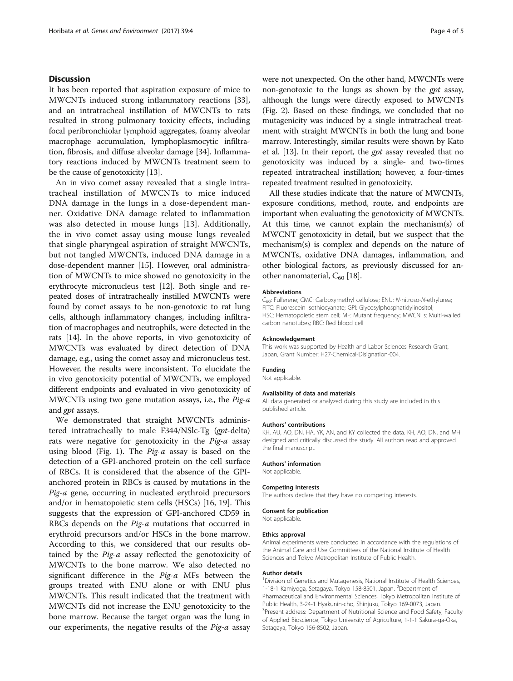## **Discussion**

It has been reported that aspiration exposure of mice to MWCNTs induced strong inflammatory reactions [\[33](#page-4-0)], and an intratracheal instillation of MWCNTs to rats resulted in strong pulmonary toxicity effects, including focal peribronchiolar lymphoid aggregates, foamy alveolar macrophage accumulation, lymphoplasmocytic infiltration, fibrosis, and diffuse alveolar damage [\[34](#page-4-0)]. Inflammatory reactions induced by MWCNTs treatment seem to be the cause of genotoxicity [\[13](#page-4-0)].

An in vivo comet assay revealed that a single intratracheal instillation of MWCNTs to mice induced DNA damage in the lungs in a dose-dependent manner. Oxidative DNA damage related to inflammation was also detected in mouse lungs [[13\]](#page-4-0). Additionally, the in vivo comet assay using mouse lungs revealed that single pharyngeal aspiration of straight MWCNTs, but not tangled MWCNTs, induced DNA damage in a dose-dependent manner [\[15](#page-4-0)]. However, oral administration of MWCNTs to mice showed no genotoxicity in the erythrocyte micronucleus test [[12\]](#page-4-0). Both single and repeated doses of intratracheally instilled MWCNTs were found by comet assays to be non-genotoxic to rat lung cells, although inflammatory changes, including infiltration of macrophages and neutrophils, were detected in the rats [[14](#page-4-0)]. In the above reports, in vivo genotoxicity of MWCNTs was evaluated by direct detection of DNA damage, e.g., using the comet assay and micronucleus test. However, the results were inconsistent. To elucidate the in vivo genotoxicity potential of MWCNTs, we employed different endpoints and evaluated in vivo genotoxicity of MWCNTs using two gene mutation assays, i.e., the Pig-a and *gpt* assays.

We demonstrated that straight MWCNTs administered intratracheally to male F344/NSlc-Tg (gpt-delta) rats were negative for genotoxicity in the  $Pig-a$  assay using blood (Fig. [1](#page-2-0)). The  $Pig-a$  assay is based on the detection of a GPI-anchored protein on the cell surface of RBCs. It is considered that the absence of the GPIanchored protein in RBCs is caused by mutations in the Pig-a gene, occurring in nucleated erythroid precursors and/or in hematopoietic stem cells (HSCs) [[16, 19\]](#page-4-0). This suggests that the expression of GPI-anchored CD59 in RBCs depends on the Pig-a mutations that occurred in erythroid precursors and/or HSCs in the bone marrow. According to this, we considered that our results obtained by the Pig-a assay reflected the genotoxicity of MWCNTs to the bone marrow. We also detected no significant difference in the  $Pig-a$  MFs between the groups treated with ENU alone or with ENU plus MWCNTs. This result indicated that the treatment with MWCNTs did not increase the ENU genotoxicity to the bone marrow. Because the target organ was the lung in our experiments, the negative results of the  $Pig-a$  assay

were not unexpected. On the other hand, MWCNTs were non-genotoxic to the lungs as shown by the gpt assay, although the lungs were directly exposed to MWCNTs (Fig. [2](#page-2-0)). Based on these findings, we concluded that no mutagenicity was induced by a single intratracheal treatment with straight MWCNTs in both the lung and bone marrow. Interestingly, similar results were shown by Kato et al. [[13](#page-4-0)]. In their report, the gpt assay revealed that no genotoxicity was induced by a single- and two-times repeated intratracheal instillation; however, a four-times repeated treatment resulted in genotoxicity.

All these studies indicate that the nature of MWCNTs, exposure conditions, method, route, and endpoints are important when evaluating the genotoxicity of MWCNTs. At this time, we cannot explain the mechanism(s) of MWCNT genotoxicity in detail, but we suspect that the mechanism(s) is complex and depends on the nature of MWCNTs, oxidative DNA damages, inflammation, and other biological factors, as previously discussed for another nanomaterial,  $C_{60}$  [\[18\]](#page-4-0).

#### Abbreviations

C<sub>60</sub>: Fullerene; CMC: Carboxymethyl cellulose; ENU: N-nitroso-N-ethylurea; FITC: Fluorescein isothiocyanate; GPI: Glycosylphosphatidylinositol; HSC: Hematopoietic stem cell; MF: Mutant frequency; MWCNTs: Multi-walled carbon nanotubes; RBC: Red blood cell

#### Acknowledgement

This work was supported by Health and Labor Sciences Research Grant, Japan, Grant Number: H27-Chemical-Disignation-004.

#### Funding

Not applicable.

#### Availability of data and materials

All data generated or analyzed during this study are included in this published article.

#### Authors' contributions

KH, AU, AO, DN, HA, YK, AN, and KY collected the data. KH, AO, DN, and MH designed and critically discussed the study. All authors read and approved the final manuscript.

#### Authors' information

Not applicable.

#### Competing interests

The authors declare that they have no competing interests.

## Consent for publication

Not applicable.

### Ethics approval

Animal experiments were conducted in accordance with the regulations of the Animal Care and Use Committees of the National Institute of Health Sciences and Tokyo Metropolitan Institute of Public Health.

#### Author details

<sup>1</sup> Division of Genetics and Mutagenesis, National Institute of Health Sciences, 1-18-1 Kamiyoga, Setagaya, Tokyo 158-8501, Japan. <sup>2</sup>Department of Pharmaceutical and Environmental Sciences, Tokyo Metropolitan Institute of Public Health, 3-24-1 Hyakunin-cho, Shinjuku, Tokyo 169-0073, Japan. <sup>3</sup>Present address: Department of Nutritional Science and Food Safety, Faculty of Applied Bioscience, Tokyo University of Agriculture, 1-1-1 Sakura-ga-Oka, Setagaya, Tokyo 156-8502, Japan.